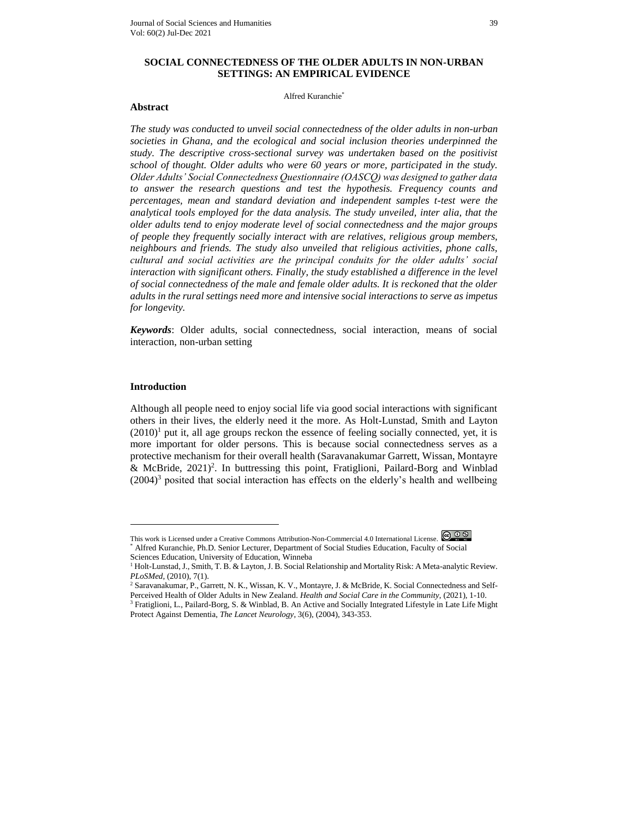#### Alfred Kuranchie\*

## **Abstract**

*The study was conducted to unveil social connectedness of the older adults in non-urban societies in Ghana, and the ecological and social inclusion theories underpinned the study. The descriptive cross-sectional survey was undertaken based on the positivist school of thought. Older adults who were 60 years or more, participated in the study. Older Adults' Social Connectedness Questionnaire (OASCQ) was designed to gather data to answer the research questions and test the hypothesis. Frequency counts and percentages, mean and standard deviation and independent samples t-test were the analytical tools employed for the data analysis. The study unveiled, inter alia, that the older adults tend to enjoy moderate level of social connectedness and the major groups of people they frequently socially interact with are relatives, religious group members, neighbours and friends. The study also unveiled that religious activities, phone calls, cultural and social activities are the principal conduits for the older adults' social interaction with significant others. Finally, the study established a difference in the level of social connectedness of the male and female older adults. It is reckoned that the older adults in the rural settings need more and intensive social interactions to serve as impetus for longevity.*

*Keywords*: Older adults, social connectedness, social interaction, means of social interaction, non-urban setting

#### **Introduction**

 $\overline{a}$ 

Although all people need to enjoy social life via good social interactions with significant others in their lives, the elderly need it the more. As Holt-Lunstad, Smith and Layton  $(2010)^1$  put it, all age groups reckon the essence of feeling socially connected, yet, it is more important for older persons. This is because social connectedness serves as a protective mechanism for their overall health (Saravanakumar Garrett, Wissan, Montayre & McBride,  $2021$ <sup>2</sup>. In buttressing this point, Fratiglioni, Pailard-Borg and Winblad  $(2004)^3$  posited that social interaction has effects on the elderly's health and wellbeing

This work is Licensed under a Creative Commons Attribution-Non-Commercial 4.0 International License. \* Alfred Kuranchie, Ph.D. Senior Lecturer, Department of Social Studies Education, Faculty of Social Sciences Education, University of Education, Winneba

<sup>&</sup>lt;sup>1</sup> Holt-Lunstad, J., Smith, T. B. & Layton, J. B. Social Relationship and Mortality Risk: A Meta-analytic Review. *PLoSMed*, (2010), 7(1).

<sup>2</sup> Saravanakumar, P., Garrett, N. K., Wissan, K. V., Montayre, J. & McBride, K. Social Connectedness and Self-Perceived Health of Older Adults in New Zealand. *Health and Social Care in the Community*, (2021), 1-10.

<sup>&</sup>lt;sup>3</sup> Fratiglioni, L., Pailard-Borg, S. & Winblad, B. An Active and Socially Integrated Lifestyle in Late Life Might Protect Against Dementia, *The Lancet Neurology*, 3(6), (2004), 343-353.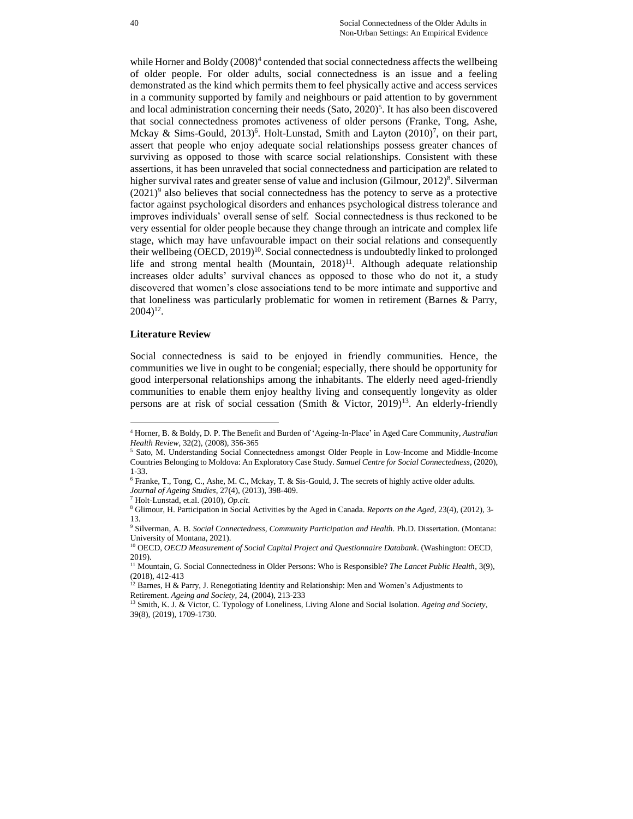while Horner and Boldy (2008)<sup>4</sup> contended that social connectedness affects the wellbeing of older people. For older adults, social connectedness is an issue and a feeling demonstrated as the kind which permits them to feel physically active and access services in a community supported by family and neighbours or paid attention to by government and local administration concerning their needs (Sato, 2020)<sup>5</sup>. It has also been discovered that social connectedness promotes activeness of older persons (Franke, Tong, Ashe, Mckay & Sims-Gould,  $2013$ <sup>6</sup>. Holt-Lunstad, Smith and Layton  $(2010)^7$ , on their part, assert that people who enjoy adequate social relationships possess greater chances of surviving as opposed to those with scarce social relationships. Consistent with these assertions, it has been unraveled that social connectedness and participation are related to higher survival rates and greater sense of value and inclusion (Gilmour, 2012)<sup>8</sup>. Silverman  $(2021)^9$  also believes that social connectedness has the potency to serve as a protective factor against psychological disorders and enhances psychological distress tolerance and improves individuals' overall sense of self. Social connectedness is thus reckoned to be very essential for older people because they change through an intricate and complex life stage, which may have unfavourable impact on their social relations and consequently their wellbeing  $(OECD, 2019)^{10}$ . Social connectedness is undoubtedly linked to prolonged life and strong mental health (Mountain,  $2018$ )<sup>11</sup>. Although adequate relationship increases older adults' survival chances as opposed to those who do not it, a study discovered that women's close associations tend to be more intimate and supportive and that loneliness was particularly problematic for women in retirement (Barnes & Parry,  $2004$ <sup>12</sup>.

#### **Literature Review**

 $\overline{a}$ 

Social connectedness is said to be enjoyed in friendly communities. Hence, the communities we live in ought to be congenial; especially, there should be opportunity for good interpersonal relationships among the inhabitants. The elderly need aged-friendly communities to enable them enjoy healthy living and consequently longevity as older persons are at risk of social cessation (Smith & Victor, 2019)<sup>13</sup>. An elderly-friendly

<sup>4</sup> Horner, B. & Boldy, D. P. The Benefit and Burden of 'Ageing-In-Place' in Aged Care Community, *Australian Health Review*, 32(2), (2008), 356-365

<sup>&</sup>lt;sup>5</sup> Sato, M. Understanding Social Connectedness amongst Older People in Low-Income and Middle-Income Countries Belonging to Moldova: An Exploratory Case Study. *Samuel Centre for Social Connectedness,* (2020), 1-33.

 $6$  Franke, T., Tong, C., Ashe, M. C., Mckay, T. & Sis-Gould, J. The secrets of highly active older adults. *Journal of Ageing Studies*, 27(4), (2013), 398-409.

<sup>7</sup> Holt-Lunstad, et.al. (2010), *Op.cit*.

<sup>8</sup> Glimour, H. Participation in Social Activities by the Aged in Canada. *Reports on the Aged*, 23(4), (2012), 3- 13.

<sup>9</sup> Silverman, A. B. *Social Connectedness, Community Participation and Health*. Ph.D. Dissertation. (Montana: University of Montana, 2021).

<sup>10</sup> OECD, *OECD Measurement of Social Capital Project and Questionnaire Databank*. (Washington: OECD, 2019).

<sup>&</sup>lt;sup>11</sup> Mountain, G. Social Connectedness in Older Persons: Who is Responsible? *The Lancet Public Health*, 3(9), (2018), 412-413

<sup>&</sup>lt;sup>12</sup> Barnes, H & Parry, J. Renegotiating Identity and Relationship: Men and Women's Adjustments to Retirement. *Ageing and Society,* 24, (2004), 213-233

<sup>13</sup> Smith, K. J. & Victor, C. Typology of Loneliness, Living Alone and Social Isolation. *Ageing and Society*, 39(8), (2019), 1709-1730.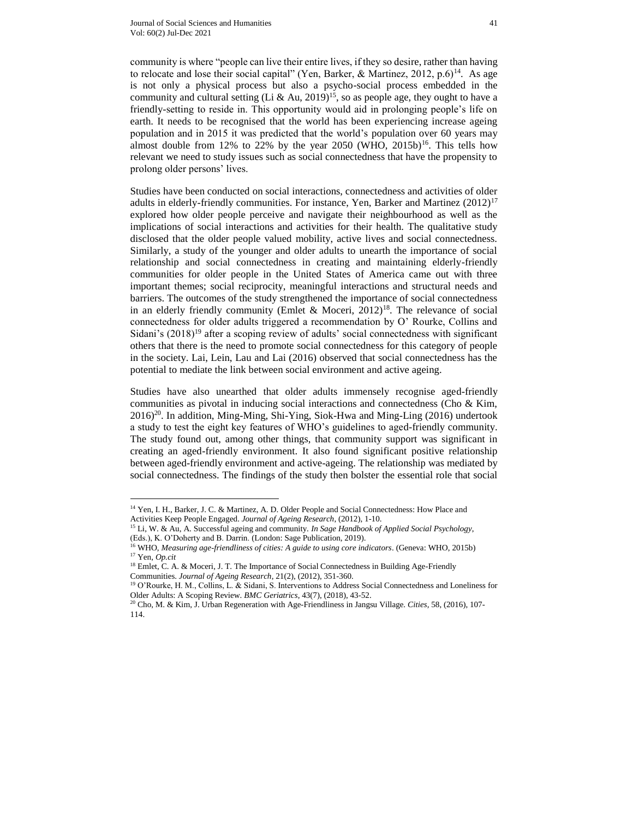$\overline{a}$ 

community is where "people can live their entire lives, if they so desire, rather than having to relocate and lose their social capital" (Yen, Barker, & Martinez, 2012, p.6)<sup>14</sup>. As age is not only a physical process but also a psycho-social process embedded in the community and cultural setting (Li & Au, 2019)<sup>15</sup>, so as people age, they ought to have a friendly-setting to reside in. This opportunity would aid in prolonging people's life on earth. It needs to be recognised that the world has been experiencing increase ageing population and in 2015 it was predicted that the world's population over 60 years may almost double from 12% to 22% by the year 2050 (WHO, 2015b)<sup>16</sup>. This tells how relevant we need to study issues such as social connectedness that have the propensity to prolong older persons' lives.

Studies have been conducted on social interactions, connectedness and activities of older adults in elderly-friendly communities. For instance, Yen, Barker and Martinez  $(2012)^{17}$ explored how older people perceive and navigate their neighbourhood as well as the implications of social interactions and activities for their health. The qualitative study disclosed that the older people valued mobility, active lives and social connectedness. Similarly, a study of the younger and older adults to unearth the importance of social relationship and social connectedness in creating and maintaining elderly-friendly communities for older people in the United States of America came out with three important themes; social reciprocity, meaningful interactions and structural needs and barriers. The outcomes of the study strengthened the importance of social connectedness in an elderly friendly community (Emlet & Moceri,  $2012$ )<sup>18</sup>. The relevance of social connectedness for older adults triggered a recommendation by O' Rourke, Collins and Sidani's (2018)<sup>19</sup> after a scoping review of adults' social connectedness with significant others that there is the need to promote social connectedness for this category of people in the society. Lai, Lein, Lau and Lai (2016) observed that social connectedness has the potential to mediate the link between social environment and active ageing.

Studies have also unearthed that older adults immensely recognise aged-friendly communities as pivotal in inducing social interactions and connectedness (Cho & Kim,  $2016$ <sup>20</sup>. In addition, Ming-Ming, Shi-Ying, Siok-Hwa and Ming-Ling (2016) undertook a study to test the eight key features of WHO's guidelines to aged-friendly community. The study found out, among other things, that community support was significant in creating an aged-friendly environment. It also found significant positive relationship between aged-friendly environment and active-ageing. The relationship was mediated by social connectedness. The findings of the study then bolster the essential role that social

<sup>&</sup>lt;sup>14</sup> Yen, I. H., Barker, J. C. & Martinez, A. D. Older People and Social Connectedness: How Place and Activities Keep People Engaged. *Journal of Ageing Research*, (2012), 1-10.

<sup>15</sup> Li, W. & Au, A. Successful ageing and community. *In Sage Handbook of Applied Social Psychology*, (Eds.), K. O'Doherty and B. Darrin. (London: Sage Publication, 2019).

<sup>16</sup> WHO, *Measuring age-friendliness of cities: A guide to using core indicators*. (Geneva: WHO, 2015b) <sup>17</sup> Yen, *Op.cit*

<sup>&</sup>lt;sup>18</sup> Emlet, C. A. & Moceri, J. T. The Importance of Social Connectedness in Building Age-Friendly Communities. *Journal of Ageing Research*, 21(2), (2012), 351-360.

<sup>19</sup> O'Rourke, H. M., Collins, L. & Sidani, S. Interventions to Address Social Connectedness and Loneliness for Older Adults: A Scoping Review. *BMC Geriatrics*, 43(7), (2018), 43-52.

<sup>20</sup> Cho, M. & Kim, J. Urban Regeneration with Age-Friendliness in Jangsu Village. *Cities,* 58, (2016), 107- 114.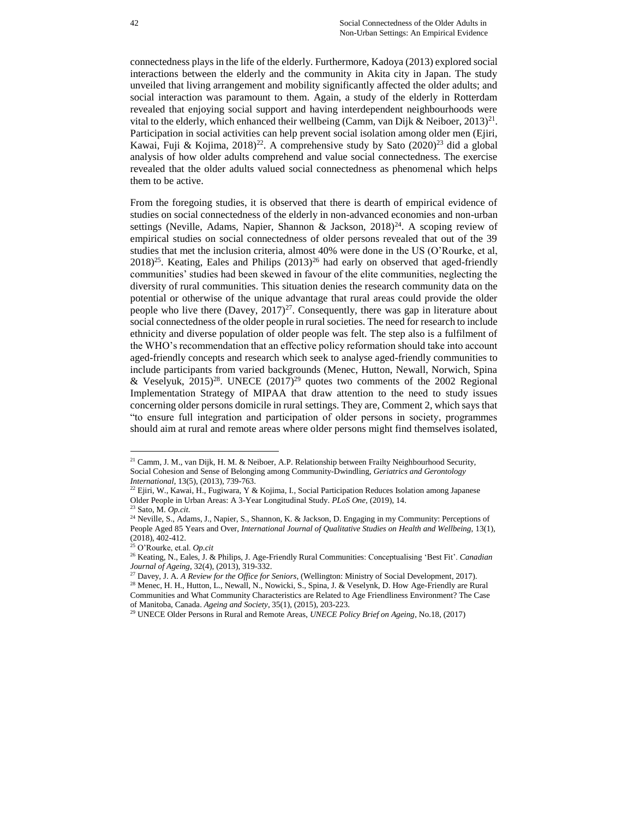connectedness plays in the life of the elderly. Furthermore, Kadoya (2013) explored social interactions between the elderly and the community in Akita city in Japan. The study unveiled that living arrangement and mobility significantly affected the older adults; and social interaction was paramount to them. Again, a study of the elderly in Rotterdam revealed that enjoying social support and having interdependent neighbourhoods were vital to the elderly, which enhanced their wellbeing (Camm, van Dijk & Neiboer, 2013)<sup>21</sup>. Participation in social activities can help prevent social isolation among older men (Ejiri, Kawai, Fuji & Kojima, 2018)<sup>22</sup>. A comprehensive study by Sato (2020)<sup>23</sup> did a global analysis of how older adults comprehend and value social connectedness. The exercise revealed that the older adults valued social connectedness as phenomenal which helps them to be active.

From the foregoing studies, it is observed that there is dearth of empirical evidence of studies on social connectedness of the elderly in non-advanced economies and non-urban settings (Neville, Adams, Napier, Shannon & Jackson,  $2018^{24}$ . A scoping review of empirical studies on social connectedness of older persons revealed that out of the 39 studies that met the inclusion criteria, almost 40% were done in the US (O'Rourke, et al,  $2018)^{25}$ . Keating, Eales and Philips  $(2013)^{26}$  had early on observed that aged-friendly communities' studies had been skewed in favour of the elite communities, neglecting the diversity of rural communities. This situation denies the research community data on the potential or otherwise of the unique advantage that rural areas could provide the older people who live there (Davey,  $2017$ )<sup>27</sup>. Consequently, there was gap in literature about social connectedness of the older people in rural societies. The need for research to include ethnicity and diverse population of older people was felt. The step also is a fulfilment of the WHO's recommendation that an effective policy reformation should take into account aged-friendly concepts and research which seek to analyse aged-friendly communities to include participants from varied backgrounds (Menec, Hutton, Newall, Norwich, Spina & Veselyuk,  $2015)^{28}$ . UNECE  $(2017)^{29}$  quotes two comments of the 2002 Regional Implementation Strategy of MIPAA that draw attention to the need to study issues concerning older persons domicile in rural settings. They are, Comment 2, which says that "to ensure full integration and participation of older persons in society, programmes should aim at rural and remote areas where older persons might find themselves isolated,

<sup>&</sup>lt;sup>21</sup> Camm, J. M., van Dijk, H. M. & Neiboer, A.P. Relationship between Frailty Neighbourhood Security, Social Cohesion and Sense of Belonging among Community-Dwindling, *Geriatrics and Gerontology International*, 13(5), (2013), 739-763.

<sup>&</sup>lt;sup>22</sup> Ejiri, W., Kawai, H., Fugiwara, Y & Kojima, I., Social Participation Reduces Isolation among Japanese Older People in Urban Areas: A 3-Year Longitudinal Study. *PLoS One,* (2019), 14. <sup>23</sup> Sato, M. *Op.cit.*

<sup>&</sup>lt;sup>24</sup> Neville, S., Adams, J., Napier, S., Shannon, K. & Jackson, D. Engaging in my Community: Perceptions of People Aged 85 Years and Over, *International Journal of Qualitative Studies on Health and Wellbeing*, 13(1), (2018), 402-412.

<sup>25</sup> O'Rourke, et.al. *Op.cit*

<sup>26</sup> Keating, N., Eales, J. & Philips, J. Age-Friendly Rural Communities: Conceptualising 'Best Fit'. *Canadian Journal of Ageing*, 32(4), (2013), 319-332.

<sup>27</sup> Davey, J. A. *A Review for the Office for Seniors*, (Wellington: Ministry of Social Development, 2017).

<sup>&</sup>lt;sup>28</sup> Menec, H. H., Hutton, L., Newall, N., Nowicki, S., Spina, J. & Veselynk, D. How Age-Friendly are Rural Communities and What Community Characteristics are Related to Age Friendliness Environment? The Case of Manitoba, Canada. *Ageing and Society*, 35(1), (2015), 203-223.

<sup>29</sup> UNECE Older Persons in Rural and Remote Areas, *UNECE Policy Brief on Ageing*, No.18, (2017)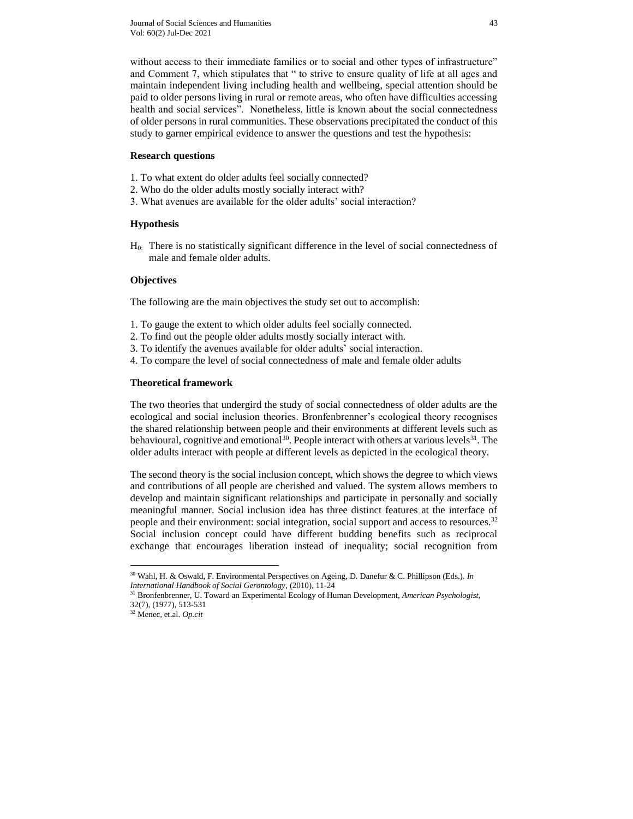without access to their immediate families or to social and other types of infrastructure" and Comment 7, which stipulates that " to strive to ensure quality of life at all ages and maintain independent living including health and wellbeing, special attention should be paid to older persons living in rural or remote areas, who often have difficulties accessing health and social services". Nonetheless, little is known about the social connectedness of older persons in rural communities. These observations precipitated the conduct of this study to garner empirical evidence to answer the questions and test the hypothesis:

### **Research questions**

- 1. To what extent do older adults feel socially connected?
- 2. Who do the older adults mostly socially interact with?
- 3. What avenues are available for the older adults' social interaction?

### **Hypothesis**

H0: There is no statistically significant difference in the level of social connectedness of male and female older adults.

### **Objectives**

The following are the main objectives the study set out to accomplish:

- 1. To gauge the extent to which older adults feel socially connected.
- 2. To find out the people older adults mostly socially interact with.
- 3. To identify the avenues available for older adults' social interaction.
- 4. To compare the level of social connectedness of male and female older adults

#### **Theoretical framework**

The two theories that undergird the study of social connectedness of older adults are the ecological and social inclusion theories. Bronfenbrenner's ecological theory recognises the shared relationship between people and their environments at different levels such as behavioural, cognitive and emotional<sup>30</sup>. People interact with others at various levels<sup>31</sup>. The older adults interact with people at different levels as depicted in the ecological theory.

The second theory is the social inclusion concept, which shows the degree to which views and contributions of all people are cherished and valued. The system allows members to develop and maintain significant relationships and participate in personally and socially meaningful manner. Social inclusion idea has three distinct features at the interface of people and their environment: social integration, social support and access to resources.<sup>32</sup> Social inclusion concept could have different budding benefits such as reciprocal exchange that encourages liberation instead of inequality; social recognition from

<sup>30</sup> Wahl, H. & Oswald, F. Environmental Perspectives on Ageing, D. Danefur & C. Phillipson (Eds.). *In International Handbook of Social Gerontology*, (2010), 11-24

<sup>31</sup> Bronfenbrenner, U. Toward an Experimental Ecology of Human Development, *American Psychologist,*  32(7), (1977), 513-531

<sup>32</sup> Menec, et.al. *Op.cit*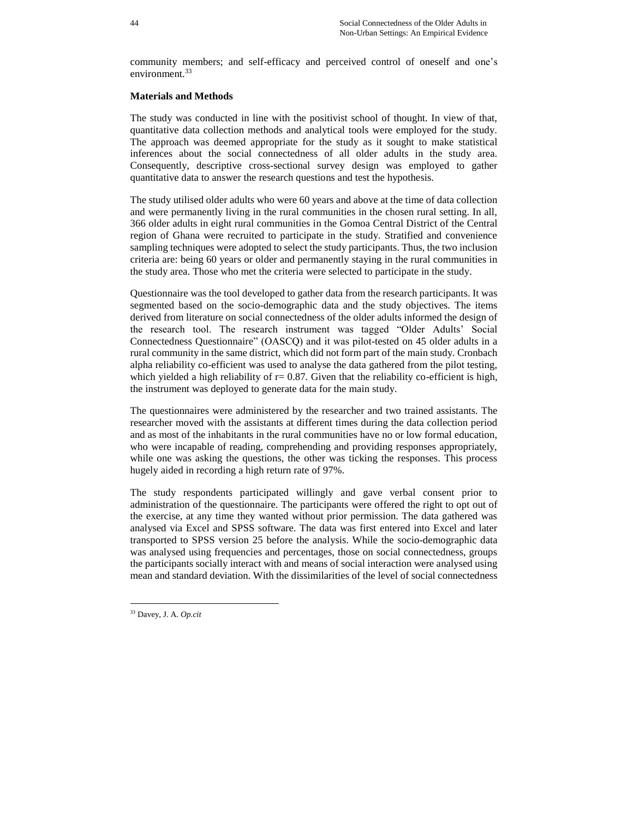community members; and self-efficacy and perceived control of oneself and one's environment. 33

### **Materials and Methods**

The study was conducted in line with the positivist school of thought. In view of that, quantitative data collection methods and analytical tools were employed for the study. The approach was deemed appropriate for the study as it sought to make statistical inferences about the social connectedness of all older adults in the study area. Consequently, descriptive cross-sectional survey design was employed to gather quantitative data to answer the research questions and test the hypothesis.

The study utilised older adults who were 60 years and above at the time of data collection and were permanently living in the rural communities in the chosen rural setting. In all, 366 older adults in eight rural communities in the Gomoa Central District of the Central region of Ghana were recruited to participate in the study. Stratified and convenience sampling techniques were adopted to select the study participants. Thus, the two inclusion criteria are: being 60 years or older and permanently staying in the rural communities in the study area. Those who met the criteria were selected to participate in the study.

Questionnaire was the tool developed to gather data from the research participants. It was segmented based on the socio-demographic data and the study objectives. The items derived from literature on social connectedness of the older adults informed the design of the research tool. The research instrument was tagged "Older Adults' Social Connectedness Questionnaire" (OASCQ) and it was pilot-tested on 45 older adults in a rural community in the same district, which did not form part of the main study. Cronbach alpha reliability co-efficient was used to analyse the data gathered from the pilot testing, which yielded a high reliability of  $r = 0.87$ . Given that the reliability co-efficient is high, the instrument was deployed to generate data for the main study.

The questionnaires were administered by the researcher and two trained assistants. The researcher moved with the assistants at different times during the data collection period and as most of the inhabitants in the rural communities have no or low formal education, who were incapable of reading, comprehending and providing responses appropriately, while one was asking the questions, the other was ticking the responses. This process hugely aided in recording a high return rate of 97%.

The study respondents participated willingly and gave verbal consent prior to administration of the questionnaire. The participants were offered the right to opt out of the exercise, at any time they wanted without prior permission. The data gathered was analysed via Excel and SPSS software. The data was first entered into Excel and later transported to SPSS version 25 before the analysis. While the socio-demographic data was analysed using frequencies and percentages, those on social connectedness, groups the participants socially interact with and means of social interaction were analysed using mean and standard deviation. With the dissimilarities of the level of social connectedness

<sup>33</sup> Davey, J. A. *Op.cit*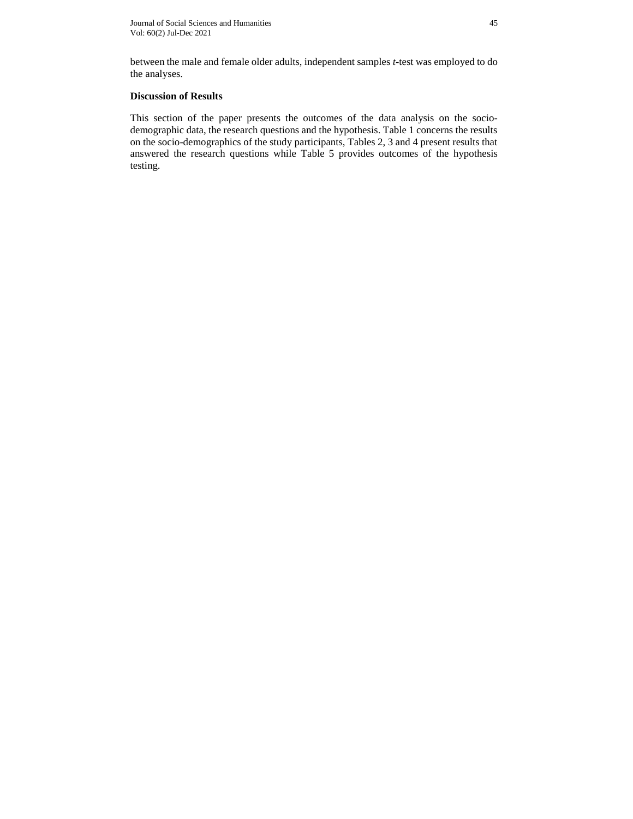between the male and female older adults, independent samples *t*-test was employed to do the analyses.

# **Discussion of Results**

This section of the paper presents the outcomes of the data analysis on the sociodemographic data, the research questions and the hypothesis. Table 1 concerns the results on the socio-demographics of the study participants, Tables 2, 3 and 4 present results that answered the research questions while Table 5 provides outcomes of the hypothesis testing.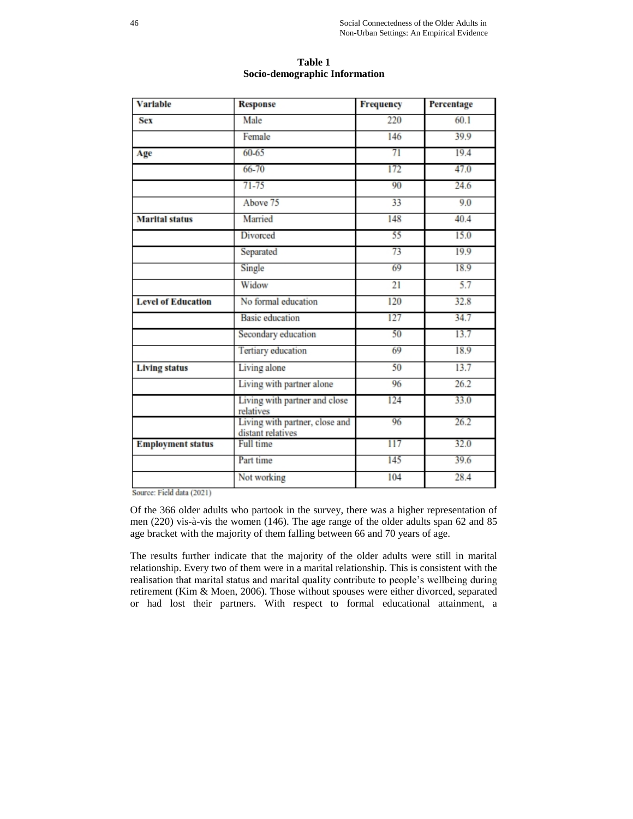| <b>Variable</b>           | <b>Response</b>                                     | <b>Frequency</b> | Percentage |
|---------------------------|-----------------------------------------------------|------------------|------------|
| <b>Sex</b>                | Male                                                | 220              | 60.1       |
|                           | Female                                              | 146              | 39.9       |
| Age                       | $60 - 65$                                           | 71               | 19.4       |
|                           | 66-70                                               | 172              | 47.0       |
|                           | $71 - 75$                                           | 90               | 24.6       |
|                           | Above 75                                            | 33               | 9.0        |
| <b>Marital status</b>     | Married                                             | 148              | 40.4       |
|                           | Divorced                                            | 55               | 15.0       |
|                           | Separated                                           | 73               | 19.9       |
|                           | Single                                              | 69               | 18.9       |
|                           | Widow                                               | 21               | 5.7        |
| <b>Level of Education</b> | No formal education                                 | 120              | 32.8       |
|                           | <b>Basic</b> education                              | 127              | 34.7       |
|                           | Secondary education                                 | 50               | 13.7       |
|                           | <b>Tertiary</b> education                           | 69               | 18.9       |
| <b>Living status</b>      | Living alone                                        | 50               | 13.7       |
|                           | Living with partner alone                           | 96               | 26.2       |
|                           | Living with partner and close<br>relatives          | 124              | 33.0       |
|                           | Living with partner, close and<br>distant relatives | 96               | 26.2       |
| <b>Employment status</b>  | Full time                                           | 117              | 32.0       |
|                           | Part time                                           | 145              | 39.6       |
|                           | Not working                                         | 104              | 28.4       |

**Table 1 Socio-demographic Information**

Source: Field data (2021)

Of the 366 older adults who partook in the survey, there was a higher representation of men (220) vis-à-vis the women (146). The age range of the older adults span 62 and 85 age bracket with the majority of them falling between 66 and 70 years of age.

The results further indicate that the majority of the older adults were still in marital relationship. Every two of them were in a marital relationship. This is consistent with the realisation that marital status and marital quality contribute to people's wellbeing during retirement (Kim & Moen, 2006). Those without spouses were either divorced, separated or had lost their partners. With respect to formal educational attainment, a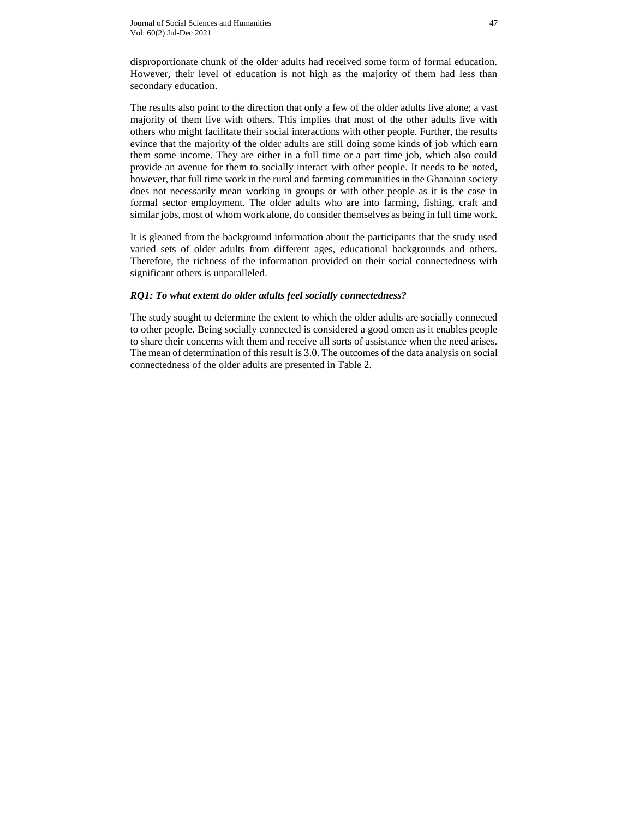disproportionate chunk of the older adults had received some form of formal education. However, their level of education is not high as the majority of them had less than secondary education.

The results also point to the direction that only a few of the older adults live alone; a vast majority of them live with others. This implies that most of the other adults live with others who might facilitate their social interactions with other people. Further, the results evince that the majority of the older adults are still doing some kinds of job which earn them some income. They are either in a full time or a part time job, which also could provide an avenue for them to socially interact with other people. It needs to be noted, however, that full time work in the rural and farming communities in the Ghanaian society does not necessarily mean working in groups or with other people as it is the case in formal sector employment. The older adults who are into farming, fishing, craft and similar jobs, most of whom work alone, do consider themselves as being in full time work.

It is gleaned from the background information about the participants that the study used varied sets of older adults from different ages, educational backgrounds and others. Therefore, the richness of the information provided on their social connectedness with significant others is unparalleled.

### *RQ1: To what extent do older adults feel socially connectedness?*

The study sought to determine the extent to which the older adults are socially connected to other people. Being socially connected is considered a good omen as it enables people to share their concerns with them and receive all sorts of assistance when the need arises. The mean of determination of this result is 3.0. The outcomes of the data analysis on social connectedness of the older adults are presented in Table 2.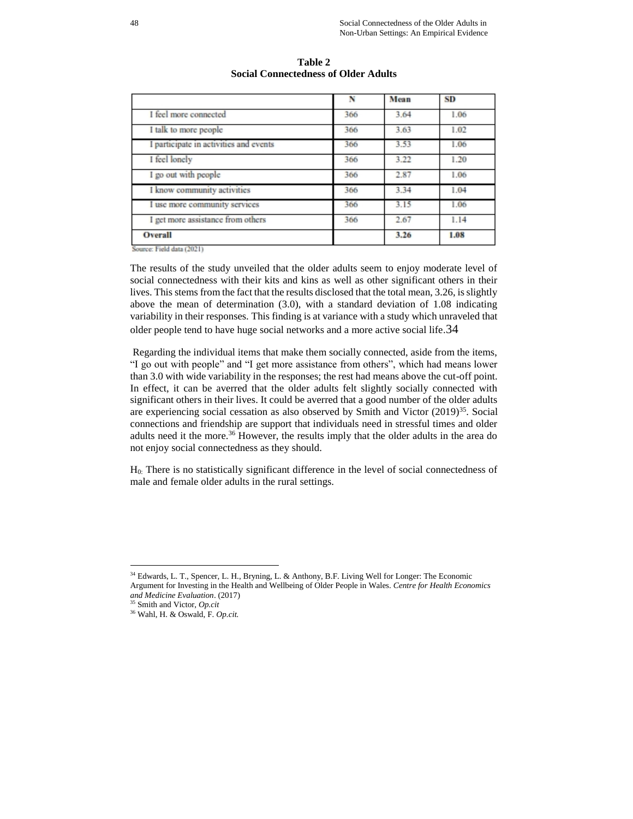|                                        | N   | Mean | <b>SD</b> |
|----------------------------------------|-----|------|-----------|
| I feel more connected                  | 366 | 3.64 | 1.06      |
| I talk to more people                  | 366 | 3.63 | 1.02      |
| I participate in activities and events | 366 | 3.53 | 1.06      |
| I feel lonely                          | 366 | 3.22 | 1.20      |
| I go out with people                   | 366 | 2.87 | 1.06      |
| I know community activities            | 366 | 3.34 | 1.04      |
| I use more community services          | 366 | 3.15 | 1.06      |
| I get more assistance from others      | 366 | 2.67 | 1.14      |
| Overall<br>$-1$<br>------              |     | 3.26 | 1.08      |

**Table 2 Social Connectedness of Older Adults**

Source: Field data (2021)

The results of the study unveiled that the older adults seem to enjoy moderate level of social connectedness with their kits and kins as well as other significant others in their lives. This stems from the fact that the results disclosed that the total mean, 3.26, is slightly above the mean of determination (3.0), with a standard deviation of 1.08 indicating variability in their responses. This finding is at variance with a study which unraveled that older people tend to have huge social networks and a more active social life.34

Regarding the individual items that make them socially connected, aside from the items, "I go out with people" and "I get more assistance from others", which had means lower than 3.0 with wide variability in the responses; the rest had means above the cut-off point. In effect, it can be averred that the older adults felt slightly socially connected with significant others in their lives. It could be averred that a good number of the older adults are experiencing social cessation as also observed by Smith and Victor  $(2019)^{35}$ . Social connections and friendship are support that individuals need in stressful times and older adults need it the more.<sup>36</sup> However, the results imply that the older adults in the area do not enjoy social connectedness as they should.

H0: There is no statistically significant difference in the level of social connectedness of male and female older adults in the rural settings.

<sup>&</sup>lt;sup>34</sup> Edwards, L. T., Spencer, L. H., Bryning, L. & Anthony, B.F. Living Well for Longer: The Economic Argument for Investing in the Health and Wellbeing of Older People in Wales. *Centre for Health Economics and Medicine Evaluation*. (2017)

<sup>35</sup> Smith and Victor, *Op.cit*

<sup>36</sup> Wahl, H. & Oswald, F. *Op.cit.*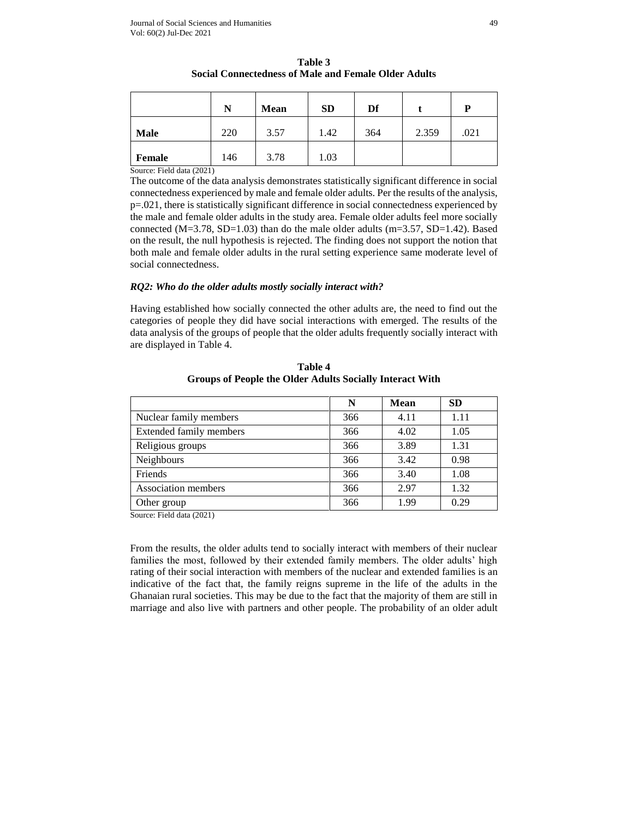|             | N   | <b>Mean</b> | <b>SD</b> | Df  |       | P    |
|-------------|-----|-------------|-----------|-----|-------|------|
| <b>Male</b> | 220 | 3.57        | 1.42      | 364 | 2.359 | .021 |
| Female      | 146 | 3.78        | 1.03      |     |       |      |

**Table 3 Social Connectedness of Male and Female Older Adults**

Source: Field data (2021)

The outcome of the data analysis demonstrates statistically significant difference in social connectedness experienced by male and female older adults. Per the results of the analysis, p=.021, there is statistically significant difference in social connectedness experienced by the male and female older adults in the study area. Female older adults feel more socially connected  $(M=3.78, SD=1.03)$  than do the male older adults  $(m=3.57, SD=1.42)$ . Based on the result, the null hypothesis is rejected. The finding does not support the notion that both male and female older adults in the rural setting experience same moderate level of social connectedness.

### *RQ2: Who do the older adults mostly socially interact with?*

Having established how socially connected the other adults are, the need to find out the categories of people they did have social interactions with emerged. The results of the data analysis of the groups of people that the older adults frequently socially interact with are displayed in Table 4.

|                         | N   | Mean | <b>SD</b> |
|-------------------------|-----|------|-----------|
| Nuclear family members  | 366 | 4.11 | 1.11      |
| Extended family members | 366 | 4.02 | 1.05      |
| Religious groups        | 366 | 3.89 | 1.31      |
| Neighbours              | 366 | 3.42 | 0.98      |
| Friends                 | 366 | 3.40 | 1.08      |
| Association members     | 366 | 2.97 | 1.32      |
| Other group             | 366 | 1.99 | 0.29      |

**Table 4 Groups of People the Older Adults Socially Interact With**

Source: Field data (2021)

From the results, the older adults tend to socially interact with members of their nuclear families the most, followed by their extended family members. The older adults' high rating of their social interaction with members of the nuclear and extended families is an indicative of the fact that, the family reigns supreme in the life of the adults in the Ghanaian rural societies. This may be due to the fact that the majority of them are still in marriage and also live with partners and other people. The probability of an older adult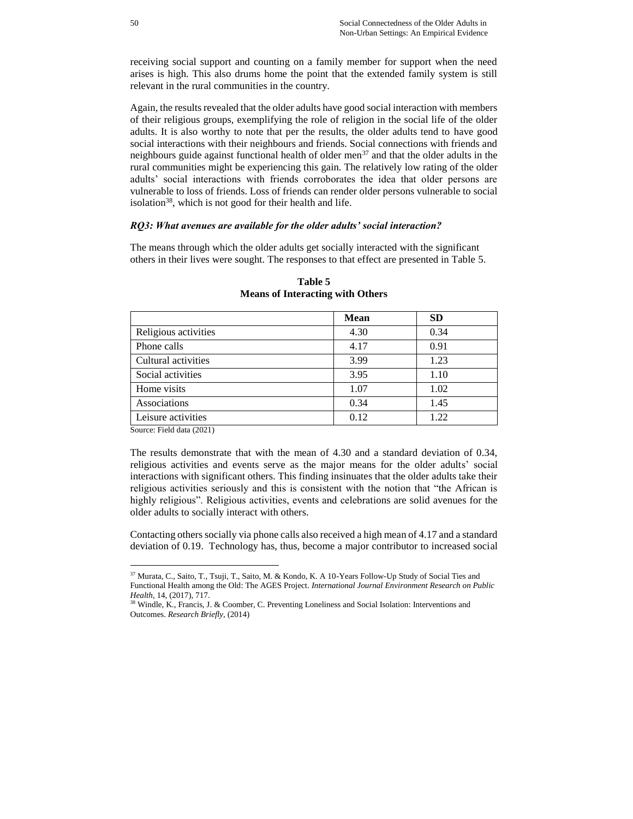receiving social support and counting on a family member for support when the need arises is high. This also drums home the point that the extended family system is still relevant in the rural communities in the country.

Again, the results revealed that the older adults have good social interaction with members of their religious groups, exemplifying the role of religion in the social life of the older adults. It is also worthy to note that per the results, the older adults tend to have good social interactions with their neighbours and friends. Social connections with friends and neighbours guide against functional health of older men<sup>37</sup> and that the older adults in the rural communities might be experiencing this gain. The relatively low rating of the older adults' social interactions with friends corroborates the idea that older persons are vulnerable to loss of friends. Loss of friends can render older persons vulnerable to social isolation<sup>38</sup>, which is not good for their health and life.

#### *RQ3: What avenues are available for the older adults' social interaction?*

The means through which the older adults get socially interacted with the significant others in their lives were sought. The responses to that effect are presented in Table 5.

|                      | <b>Mean</b> | <b>SD</b> |
|----------------------|-------------|-----------|
| Religious activities | 4.30        | 0.34      |
| Phone calls          | 4.17        | 0.91      |
| Cultural activities  | 3.99        | 1.23      |
| Social activities    | 3.95        | 1.10      |
| Home visits          | 1.07        | 1.02      |
| Associations         | 0.34        | 1.45      |
| Leisure activities   | 0.12        | 1.22      |

**Table 5 Means of Interacting with Others**

Source: Field data (2021)

 $\overline{a}$ 

The results demonstrate that with the mean of 4.30 and a standard deviation of 0.34, religious activities and events serve as the major means for the older adults' social interactions with significant others. This finding insinuates that the older adults take their religious activities seriously and this is consistent with the notion that "the African is highly religious". Religious activities, events and celebrations are solid avenues for the older adults to socially interact with others.

Contacting others socially via phone calls also received a high mean of 4.17 and a standard deviation of 0.19. Technology has, thus, become a major contributor to increased social

<sup>37</sup> Murata, C., Saito, T., Tsuji, T., Saito, M. & Kondo, K. A 10-Years Follow-Up Study of Social Ties and Functional Health among the Old: The AGES Project. *International Journal Environment Research on Public Health*, 14, (2017), 717.

<sup>38</sup> Windle, K., Francis, J. & Coomber, C. Preventing Loneliness and Social Isolation: Interventions and Outcomes. *Research Briefly*, (2014)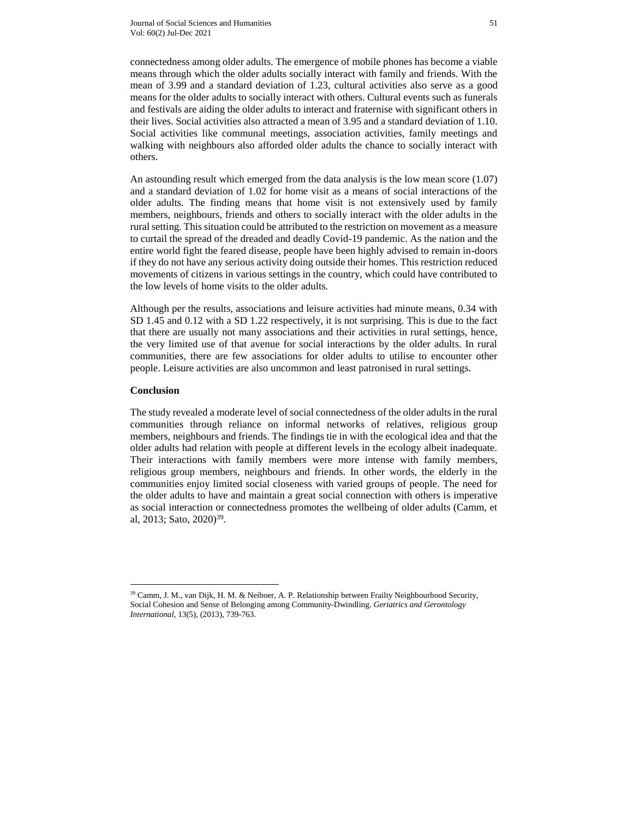connectedness among older adults. The emergence of mobile phones has become a viable means through which the older adults socially interact with family and friends. With the mean of 3.99 and a standard deviation of 1.23, cultural activities also serve as a good means for the older adults to socially interact with others. Cultural events such as funerals and festivals are aiding the older adults to interact and fraternise with significant others in their lives. Social activities also attracted a mean of 3.95 and a standard deviation of 1.10. Social activities like communal meetings, association activities, family meetings and walking with neighbours also afforded older adults the chance to socially interact with others.

An astounding result which emerged from the data analysis is the low mean score (1.07) and a standard deviation of 1.02 for home visit as a means of social interactions of the older adults. The finding means that home visit is not extensively used by family members, neighbours, friends and others to socially interact with the older adults in the rural setting. This situation could be attributed to the restriction on movement as a measure to curtail the spread of the dreaded and deadly Covid-19 pandemic. As the nation and the entire world fight the feared disease, people have been highly advised to remain in-doors if they do not have any serious activity doing outside their homes. This restriction reduced movements of citizens in various settings in the country, which could have contributed to the low levels of home visits to the older adults.

Although per the results, associations and leisure activities had minute means, 0.34 with SD 1.45 and 0.12 with a SD 1.22 respectively, it is not surprising. This is due to the fact that there are usually not many associations and their activities in rural settings, hence, the very limited use of that avenue for social interactions by the older adults. In rural communities, there are few associations for older adults to utilise to encounter other people. Leisure activities are also uncommon and least patronised in rural settings.

### **Conclusion**

 $\overline{a}$ 

The study revealed a moderate level of social connectedness of the older adults in the rural communities through reliance on informal networks of relatives, religious group members, neighbours and friends. The findings tie in with the ecological idea and that the older adults had relation with people at different levels in the ecology albeit inadequate. Their interactions with family members were more intense with family members, religious group members, neighbours and friends. In other words, the elderly in the communities enjoy limited social closeness with varied groups of people. The need for the older adults to have and maintain a great social connection with others is imperative as social interaction or connectedness promotes the wellbeing of older adults (Camm, et al, 2013; Sato, 2020)<sup>39</sup>.

<sup>39</sup> Camm, J. M., van Dijk, H. M. & Neiboer, A. P. Relationship between Frailty Neighbourhood Security, Social Cohesion and Sense of Belonging among Community-Dwindling. *Geriatrics and Gerontology International*, 13(5), (2013), 739-763.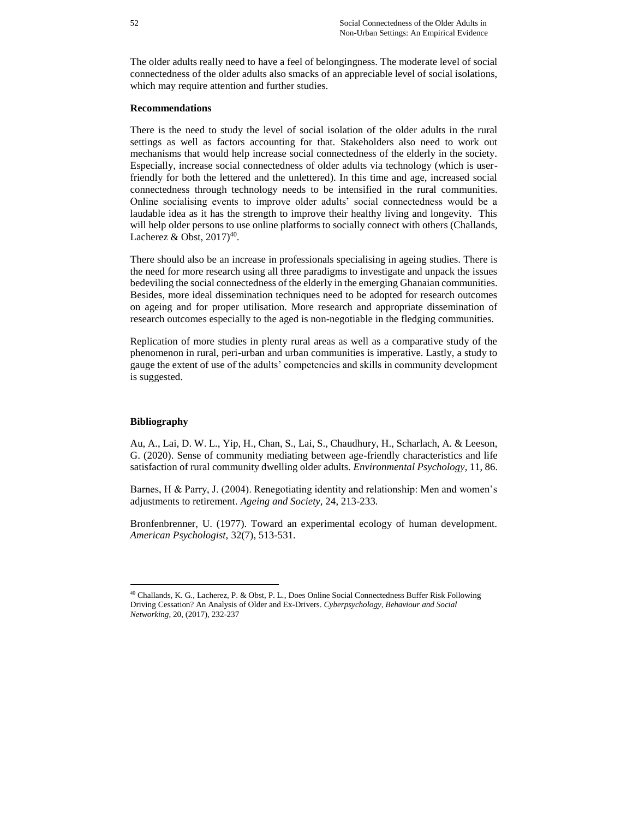The older adults really need to have a feel of belongingness. The moderate level of social connectedness of the older adults also smacks of an appreciable level of social isolations, which may require attention and further studies.

### **Recommendations**

There is the need to study the level of social isolation of the older adults in the rural settings as well as factors accounting for that. Stakeholders also need to work out mechanisms that would help increase social connectedness of the elderly in the society. Especially, increase social connectedness of older adults via technology (which is userfriendly for both the lettered and the unlettered). In this time and age, increased social connectedness through technology needs to be intensified in the rural communities. Online socialising events to improve older adults' social connectedness would be a laudable idea as it has the strength to improve their healthy living and longevity. This will help older persons to use online platforms to socially connect with others (Challands, Lacherez & Obst,  $2017)^{40}$ .

There should also be an increase in professionals specialising in ageing studies. There is the need for more research using all three paradigms to investigate and unpack the issues bedeviling the social connectedness of the elderly in the emerging Ghanaian communities. Besides, more ideal dissemination techniques need to be adopted for research outcomes on ageing and for proper utilisation. More research and appropriate dissemination of research outcomes especially to the aged is non-negotiable in the fledging communities.

Replication of more studies in plenty rural areas as well as a comparative study of the phenomenon in rural, peri-urban and urban communities is imperative. Lastly, a study to gauge the extent of use of the adults' competencies and skills in community development is suggested.

### **Bibliography**

 $\overline{a}$ 

Au, A., Lai, D. W. L., Yip, H., Chan, S., Lai, S., Chaudhury, H., Scharlach, A. & Leeson, G. (2020). Sense of community mediating between age-friendly characteristics and life satisfaction of rural community dwelling older adults. *Environmental Psychology*, 11, 86.

Barnes, H & Parry, J. (2004). Renegotiating identity and relationship: Men and women's adjustments to retirement. *Ageing and Society,* 24, 213-233*.*

Bronfenbrenner, U. (1977). Toward an experimental ecology of human development. *American Psychologist,* 32(7), 513-531.

<sup>40</sup> Challands, K. G., Lacherez, P. & Obst, P. L., Does Online Social Connectedness Buffer Risk Following Driving Cessation? An Analysis of Older and Ex-Drivers. *Cyberpsychology, Behaviour and Social Networking*, 20, (2017), 232-237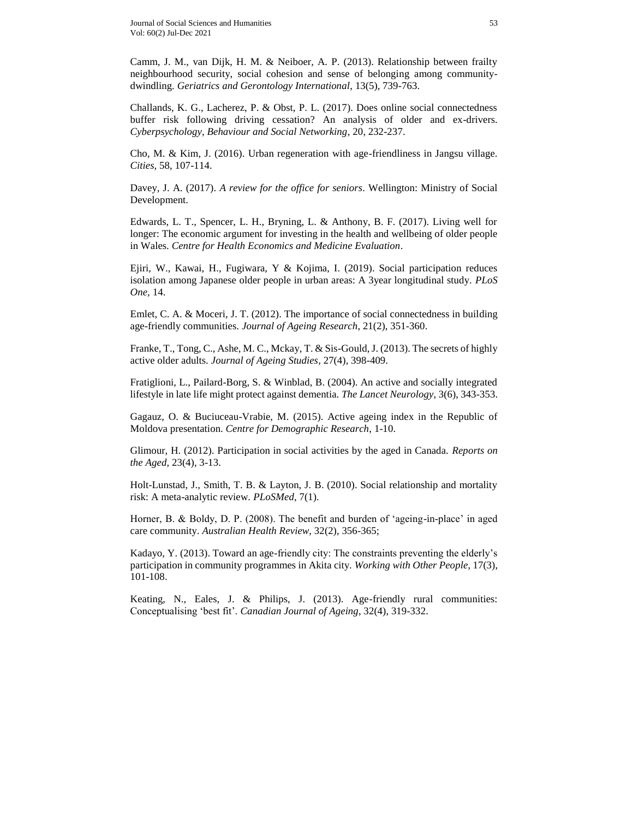Camm, J. M., van Dijk, H. M. & Neiboer, A. P. (2013). Relationship between frailty neighbourhood security, social cohesion and sense of belonging among communitydwindling. *Geriatrics and Gerontology International*, 13(5), 739-763.

Challands, K. G., Lacherez, P. & Obst, P. L. (2017). Does online social connectedness buffer risk following driving cessation? An analysis of older and ex-drivers. *Cyberpsychology, Behaviour and Social Networking*, 20, 232-237.

Cho, M. & Kim, J. (2016). Urban regeneration with age-friendliness in Jangsu village. *Cities,* 58, 107-114.

Davey, J. A. (2017). *A review for the office for seniors*. Wellington: Ministry of Social Development.

Edwards, L. T., Spencer, L. H., Bryning, L. & Anthony, B. F. (2017). Living well for longer: The economic argument for investing in the health and wellbeing of older people in Wales. *Centre for Health Economics and Medicine Evaluation*.

Ejiri, W., Kawai, H., Fugiwara, Y & Kojima, I. (2019). Social participation reduces isolation among Japanese older people in urban areas: A 3year longitudinal study. *PLoS One,* 14.

Emlet, C. A. & Moceri, J. T. (2012). The importance of social connectedness in building age-friendly communities. *Journal of Ageing Research*, 21(2), 351-360.

Franke, T., Tong, C., Ashe, M. C., Mckay, T. & Sis-Gould, J. (2013). The secrets of highly active older adults. *Journal of Ageing Studies*, 27(4), 398-409.

Fratiglioni, L., Pailard-Borg, S. & Winblad, B. (2004). An active and socially integrated lifestyle in late life might protect against dementia. *The Lancet Neurology*, 3(6), 343-353.

Gagauz, O. & Buciuceau-Vrabie, M. (2015). Active ageing index in the Republic of Moldova presentation. *Centre for Demographic Research*, 1-10.

Glimour, H. (2012). Participation in social activities by the aged in Canada. *Reports on the Aged*, 23(4), 3-13.

Holt-Lunstad, J., Smith, T. B. & Layton, J. B. (2010). Social relationship and mortality risk: A meta-analytic review. *PLoSMed*, 7(1).

Horner, B. & Boldy, D. P. (2008). The benefit and burden of 'ageing-in-place' in aged care community. *Australian Health Review*, 32(2), 356-365;

Kadayo, Y. (2013). Toward an age-friendly city: The constraints preventing the elderly's participation in community programmes in Akita city. *Working with Other People*, 17(3), 101-108.

Keating, N., Eales, J. & Philips, J. (2013). Age-friendly rural communities: Conceptualising 'best fit'. *Canadian Journal of Ageing*, 32(4), 319-332.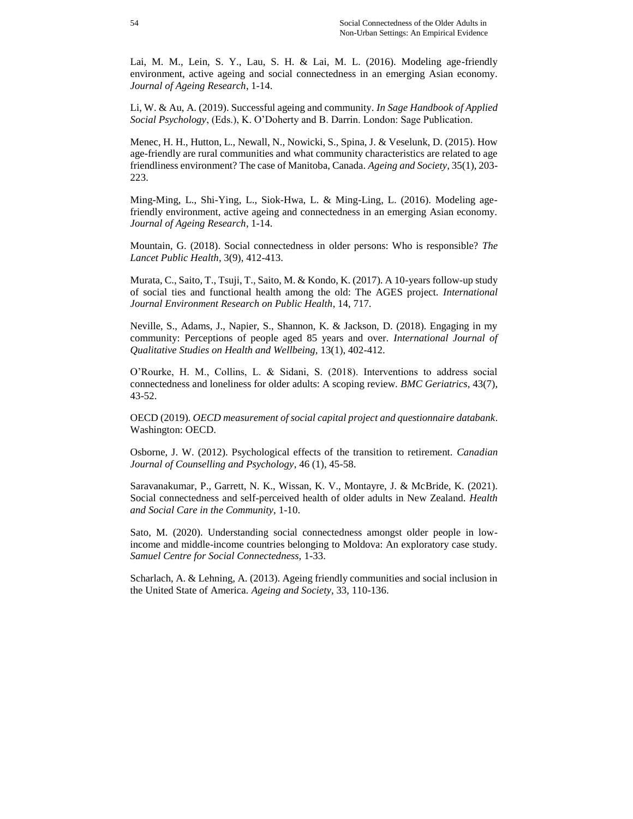Lai, M. M., Lein, S. Y., Lau, S. H. & Lai, M. L. (2016). Modeling age-friendly environment, active ageing and social connectedness in an emerging Asian economy. *Journal of Ageing Research*, 1-14.

Li, W. & Au, A. (2019). Successful ageing and community. *In Sage Handbook of Applied Social Psychology*, (Eds.), K. O'Doherty and B. Darrin. London: Sage Publication.

Menec, H. H., Hutton, L., Newall, N., Nowicki, S., Spina, J. & Veselunk, D. (2015). How age-friendly are rural communities and what community characteristics are related to age friendliness environment? The case of Manitoba, Canada. *Ageing and Society*, 35(1), 203- 223.

Ming-Ming, L., Shi-Ying, L., Siok-Hwa, L. & Ming-Ling, L. (2016). Modeling agefriendly environment, active ageing and connectedness in an emerging Asian economy. *Journal of Ageing Research*, 1-14.

Mountain, G. (2018). Social connectedness in older persons: Who is responsible? *The Lancet Public Health*, 3(9), 412-413.

Murata, C., Saito, T., Tsuji, T., Saito, M. & Kondo, K. (2017). A 10-years follow-up study of social ties and functional health among the old: The AGES project. *International Journal Environment Research on Public Health*, 14, 717.

Neville, S., Adams, J., Napier, S., Shannon, K. & Jackson, D. (2018). Engaging in my community: Perceptions of people aged 85 years and over. *International Journal of Qualitative Studies on Health and Wellbeing,* 13(1), 402-412.

O'Rourke, H. M., Collins, L. & Sidani, S. (2018). Interventions to address social connectedness and loneliness for older adults: A scoping review. *BMC Geriatrics*, 43(7), 43-52.

OECD (2019). *OECD measurement of social capital project and questionnaire databank*. Washington: OECD.

Osborne, J. W. (2012). Psychological effects of the transition to retirement. *Canadian Journal of Counselling and Psychology*, 46 (1), 45-58.

Saravanakumar, P., Garrett, N. K., Wissan, K. V., Montayre, J. & McBride, K. (2021). Social connectedness and self-perceived health of older adults in New Zealand. *Health and Social Care in the Community*, 1-10.

Sato, M. (2020). Understanding social connectedness amongst older people in lowincome and middle-income countries belonging to Moldova: An exploratory case study. *Samuel Centre for Social Connectedness,* 1-33.

Scharlach, A. & Lehning, A. (2013). Ageing friendly communities and social inclusion in the United State of America. *Ageing and Society*, 33, 110-136.